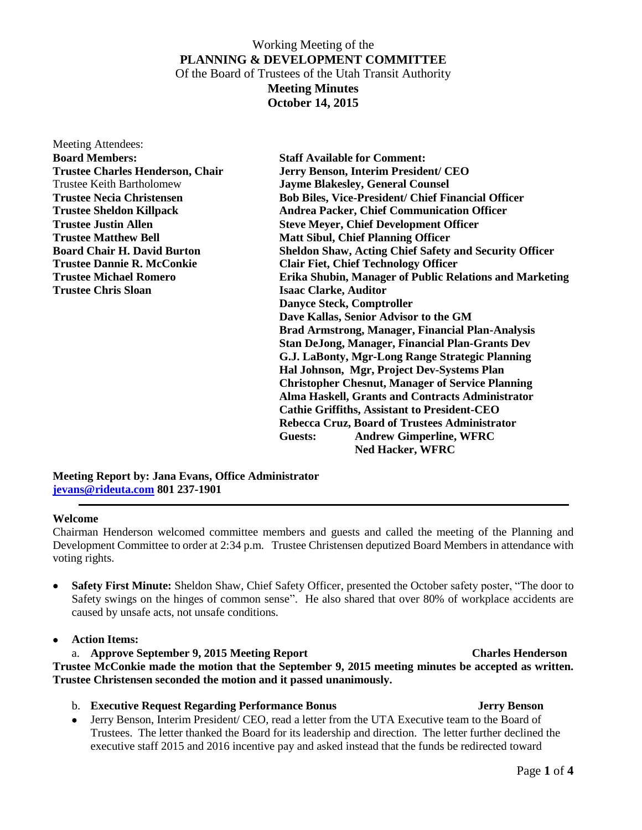# Working Meeting of the **PLANNING & DEVELOPMENT COMMITTEE** Of the Board of Trustees of the Utah Transit Authority **Meeting Minutes**

**October 14, 2015**

| Meeting Attendees:                                                               |                                                               |  |
|----------------------------------------------------------------------------------|---------------------------------------------------------------|--|
| <b>Board Members:</b>                                                            | <b>Staff Available for Comment:</b>                           |  |
| <b>Trustee Charles Henderson, Chair</b>                                          | Jerry Benson, Interim President/ CEO                          |  |
| <b>Trustee Keith Bartholomew</b>                                                 | <b>Jayme Blakesley, General Counsel</b>                       |  |
| <b>Trustee Necia Christensen</b>                                                 | <b>Bob Biles, Vice-President/ Chief Financial Officer</b>     |  |
| <b>Trustee Sheldon Killpack</b>                                                  | <b>Andrea Packer, Chief Communication Officer</b>             |  |
| <b>Trustee Justin Allen</b>                                                      | <b>Steve Meyer, Chief Development Officer</b>                 |  |
| <b>Trustee Matthew Bell</b><br><b>Matt Sibul, Chief Planning Officer</b>         |                                                               |  |
| <b>Board Chair H. David Burton</b>                                               | <b>Sheldon Shaw, Acting Chief Safety and Security Officer</b> |  |
| <b>Clair Fiet, Chief Technology Officer</b><br><b>Trustee Dannie R. McConkie</b> |                                                               |  |
| <b>Trustee Michael Romero</b>                                                    | Erika Shubin, Manager of Public Relations and Marketing       |  |
| <b>Trustee Chris Sloan</b>                                                       | <b>Isaac Clarke, Auditor</b>                                  |  |
|                                                                                  | <b>Danyce Steck, Comptroller</b>                              |  |
|                                                                                  | Dave Kallas, Senior Advisor to the GM                         |  |
|                                                                                  | <b>Brad Armstrong, Manager, Financial Plan-Analysis</b>       |  |
|                                                                                  | <b>Stan DeJong, Manager, Financial Plan-Grants Dev</b>        |  |
|                                                                                  | G.J. LaBonty, Mgr-Long Range Strategic Planning               |  |
|                                                                                  | Hal Johnson, Mgr, Project Dev-Systems Plan                    |  |
|                                                                                  | <b>Christopher Chesnut, Manager of Service Planning</b>       |  |
|                                                                                  | Alma Haskell, Grants and Contracts Administrator              |  |
|                                                                                  | <b>Cathie Griffiths, Assistant to President-CEO</b>           |  |
|                                                                                  | Rebecca Cruz, Board of Trustees Administrator                 |  |
|                                                                                  | <b>Andrew Gimperline, WFRC</b><br>Guests:                     |  |
|                                                                                  | <b>Ned Hacker, WFRC</b>                                       |  |

**Meeting Report by: Jana Evans, Office Administrator [jevans@rideuta.com](mailto:jevans@rideuta.com) 801 237-1901**

### **Welcome**

Chairman Henderson welcomed committee members and guests and called the meeting of the Planning and Development Committee to order at 2:34 p.m. Trustee Christensen deputized Board Members in attendance with voting rights.

 **Safety First Minute:** Sheldon Shaw, Chief Safety Officer, presented the October safety poster, "The door to Safety swings on the hinges of common sense". He also shared that over 80% of workplace accidents are caused by unsafe acts, not unsafe conditions.

**Action Items:**

## a. **Approve September 9, 2015 Meeting Report Charles Henderson**

**Trustee McConkie made the motion that the September 9, 2015 meeting minutes be accepted as written. Trustee Christensen seconded the motion and it passed unanimously.**

- b. **Executive Request Regarding Performance Bonus Jerry Benson**
- Jerry Benson, Interim President/ CEO, read a letter from the UTA Executive team to the Board of Trustees. The letter thanked the Board for its leadership and direction. The letter further declined the executive staff 2015 and 2016 incentive pay and asked instead that the funds be redirected toward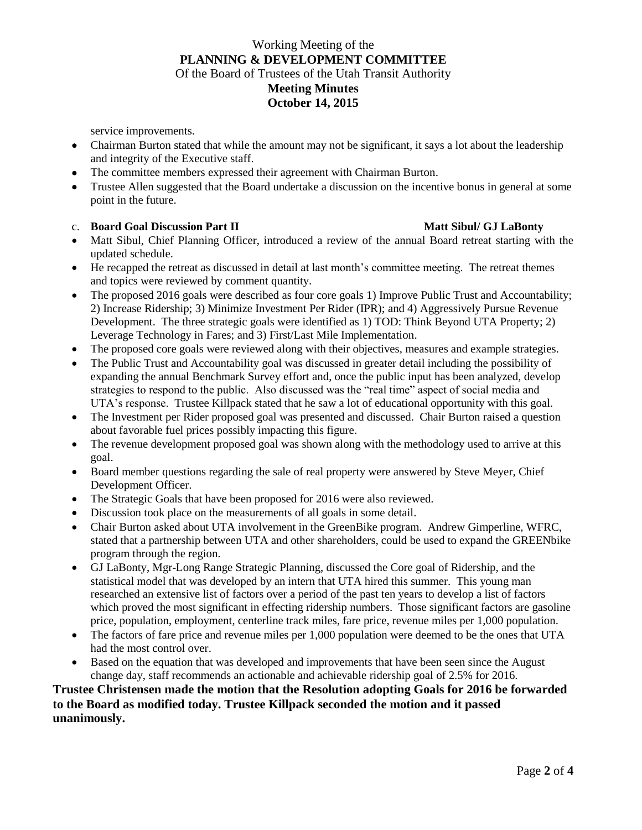# Working Meeting of the **PLANNING & DEVELOPMENT COMMITTEE** Of the Board of Trustees of the Utah Transit Authority **Meeting Minutes October 14, 2015**

service improvements.

- Chairman Burton stated that while the amount may not be significant, it says a lot about the leadership and integrity of the Executive staff.
- The committee members expressed their agreement with Chairman Burton.
- Trustee Allen suggested that the Board undertake a discussion on the incentive bonus in general at some point in the future.

### c. **Board Goal Discussion Part II Matt Sibul/ GJ LaBonty**

- Matt Sibul, Chief Planning Officer, introduced a review of the annual Board retreat starting with the updated schedule.
- He recapped the retreat as discussed in detail at last month's committee meeting. The retreat themes and topics were reviewed by comment quantity.
- The proposed 2016 goals were described as four core goals 1) Improve Public Trust and Accountability; 2) Increase Ridership; 3) Minimize Investment Per Rider (IPR); and 4) Aggressively Pursue Revenue Development. The three strategic goals were identified as 1) TOD: Think Beyond UTA Property; 2) Leverage Technology in Fares; and 3) First/Last Mile Implementation.
- The proposed core goals were reviewed along with their objectives, measures and example strategies.
- The Public Trust and Accountability goal was discussed in greater detail including the possibility of expanding the annual Benchmark Survey effort and, once the public input has been analyzed, develop strategies to respond to the public. Also discussed was the "real time" aspect of social media and UTA's response. Trustee Killpack stated that he saw a lot of educational opportunity with this goal.
- The Investment per Rider proposed goal was presented and discussed. Chair Burton raised a question about favorable fuel prices possibly impacting this figure.
- The revenue development proposed goal was shown along with the methodology used to arrive at this goal.
- Board member questions regarding the sale of real property were answered by Steve Meyer, Chief Development Officer.
- The Strategic Goals that have been proposed for 2016 were also reviewed.
- Discussion took place on the measurements of all goals in some detail.
- Chair Burton asked about UTA involvement in the GreenBike program. Andrew Gimperline, WFRC, stated that a partnership between UTA and other shareholders, could be used to expand the GREENbike program through the region.
- GJ LaBonty, Mgr-Long Range Strategic Planning, discussed the Core goal of Ridership, and the statistical model that was developed by an intern that UTA hired this summer. This young man researched an extensive list of factors over a period of the past ten years to develop a list of factors which proved the most significant in effecting ridership numbers. Those significant factors are gasoline price, population, employment, centerline track miles, fare price, revenue miles per 1,000 population.
- The factors of fare price and revenue miles per 1,000 population were deemed to be the ones that UTA had the most control over.
- Based on the equation that was developed and improvements that have been seen since the August change day, staff recommends an actionable and achievable ridership goal of 2.5% for 2016.

## **Trustee Christensen made the motion that the Resolution adopting Goals for 2016 be forwarded to the Board as modified today. Trustee Killpack seconded the motion and it passed unanimously.**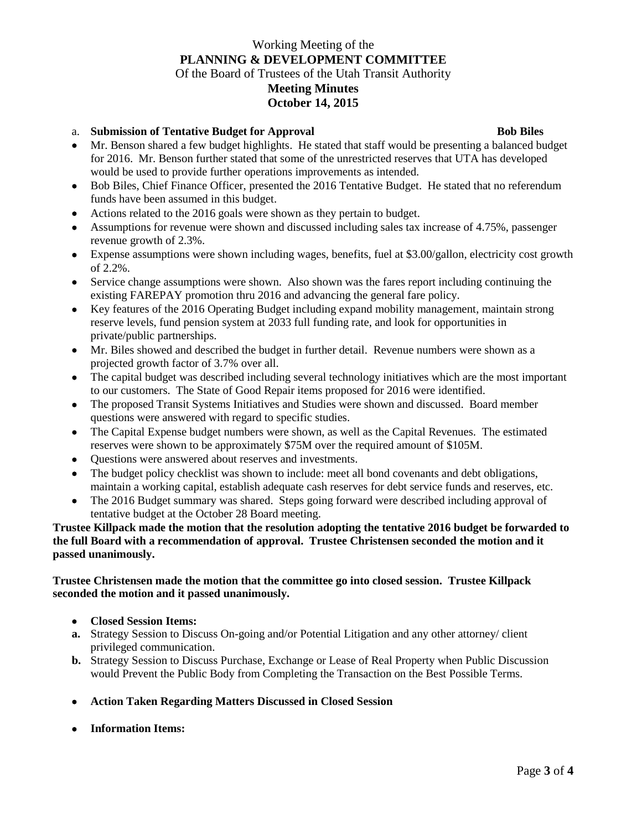## Working Meeting of the **PLANNING & DEVELOPMENT COMMITTEE** Of the Board of Trustees of the Utah Transit Authority **Meeting Minutes October 14, 2015**

## a. **Submission of Tentative Budget for Approval Bob Biles**

- Mr. Benson shared a few budget highlights. He stated that staff would be presenting a balanced budget for 2016. Mr. Benson further stated that some of the unrestricted reserves that UTA has developed would be used to provide further operations improvements as intended.
- Bob Biles, Chief Finance Officer, presented the 2016 Tentative Budget. He stated that no referendum funds have been assumed in this budget.
- Actions related to the 2016 goals were shown as they pertain to budget.
- Assumptions for revenue were shown and discussed including sales tax increase of 4.75%, passenger revenue growth of 2.3%.
- Expense assumptions were shown including wages, benefits, fuel at  $$3.00/g$ allon, electricity cost growth of 2.2%.
- Service change assumptions were shown. Also shown was the fares report including continuing the existing FAREPAY promotion thru 2016 and advancing the general fare policy.
- Key features of the 2016 Operating Budget including expand mobility management, maintain strong reserve levels, fund pension system at 2033 full funding rate, and look for opportunities in private/public partnerships.
- Mr. Biles showed and described the budget in further detail. Revenue numbers were shown as a projected growth factor of 3.7% over all.
- The capital budget was described including several technology initiatives which are the most important to our customers. The State of Good Repair items proposed for 2016 were identified.
- The proposed Transit Systems Initiatives and Studies were shown and discussed. Board member questions were answered with regard to specific studies.
- The Capital Expense budget numbers were shown, as well as the Capital Revenues. The estimated reserves were shown to be approximately \$75M over the required amount of \$105M.
- Questions were answered about reserves and investments.
- The budget policy checklist was shown to include: meet all bond covenants and debt obligations, maintain a working capital, establish adequate cash reserves for debt service funds and reserves, etc.
- The 2016 Budget summary was shared. Steps going forward were described including approval of tentative budget at the October 28 Board meeting.

## **Trustee Killpack made the motion that the resolution adopting the tentative 2016 budget be forwarded to the full Board with a recommendation of approval. Trustee Christensen seconded the motion and it passed unanimously.**

## **Trustee Christensen made the motion that the committee go into closed session. Trustee Killpack seconded the motion and it passed unanimously.**

- **Closed Session Items:**
- **a.** Strategy Session to Discuss On-going and/or Potential Litigation and any other attorney/ client privileged communication.
- **b.** Strategy Session to Discuss Purchase, Exchange or Lease of Real Property when Public Discussion would Prevent the Public Body from Completing the Transaction on the Best Possible Terms.
- **Action Taken Regarding Matters Discussed in Closed Session**
- **Information Items:**